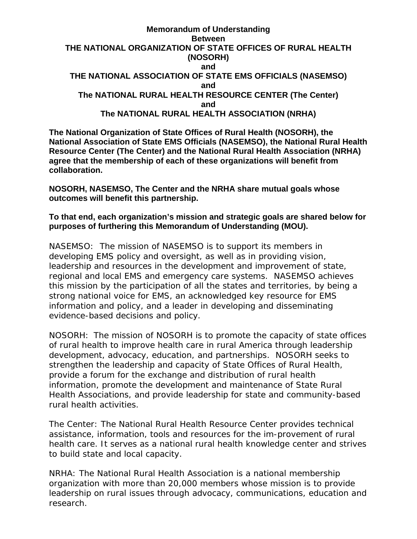## **Memorandum of Understanding Between THE NATIONAL ORGANIZATION OF STATE OFFICES OF RURAL HEALTH (NOSORH) and THE NATIONAL ASSOCIATION OF STATE EMS OFFICIALS (NASEMSO) and The NATIONAL RURAL HEALTH RESOURCE CENTER (The Center) and The NATIONAL RURAL HEALTH ASSOCIATION (NRHA)**

**The National Organization of State Offices of Rural Health (NOSORH), the National Association of State EMS Officials (NASEMSO), the National Rural Health Resource Center (The Center) and the National Rural Health Association (NRHA) agree that the membership of each of these organizations will benefit from collaboration.** 

**NOSORH, NASEMSO, The Center and the NRHA share mutual goals whose outcomes will benefit this partnership.**

## **To that end, each organization's mission and strategic goals are shared below for purposes of furthering this Memorandum of Understanding (MOU).**

NASEMSO: The mission of NASEMSO is to support its members in developing EMS policy and oversight, as well as in providing vision, leadership and resources in the development and improvement of state, regional and local EMS and emergency care systems. NASEMSO achieves this mission by the participation of all the states and territories, by being a strong national voice for EMS, an acknowledged key resource for EMS information and policy, and a leader in developing and disseminating evidence-based decisions and policy.

NOSORH: The mission of NOSORH is to promote the capacity of state offices of rural health to improve health care in rural America through leadership development, advocacy, education, and partnerships. NOSORH seeks to strengthen the leadership and capacity of State Offices of Rural Health, provide a forum for the exchange and distribution of rural health information, promote the development and maintenance of State Rural Health Associations, and provide leadership for state and community-based rural health activities.

The Center: The National Rural Health Resource Center provides technical assistance, information, tools and resources for the im-provement of rural health care. It serves as a national rural health knowledge center and strives to build state and local capacity.

NRHA: The National Rural Health Association is a national membership organization with more than 20,000 members whose mission is to provide leadership on rural issues through advocacy, communications, education and research.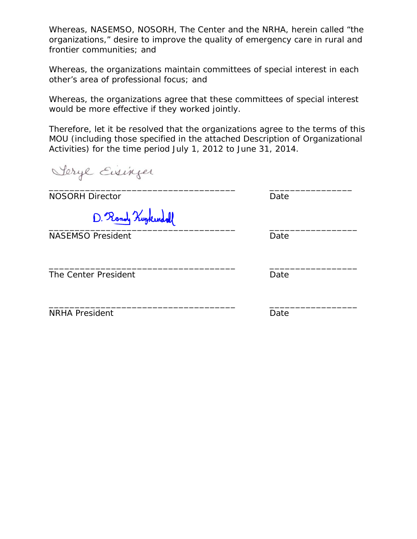Whereas, NASEMSO, NOSORH, The Center and the NRHA, herein called "the organizations," desire to improve the quality of emergency care in rural and frontier communities; and

Whereas, the organizations maintain committees of special interest in each other's area of professional focus; and

Whereas, the organizations agree that these committees of special interest would be more effective if they worked jointly.

Therefore, let it be resolved that the organizations agree to the terms of this MOU (including those specified in the attached Description of Organizational Activities) for the time period July 1, 2012 to June 31, 2014.

Serye Eisinger \_\_\_\_\_\_\_\_\_\_\_\_\_\_\_\_\_\_\_\_\_\_\_\_\_\_\_\_\_\_\_\_\_\_\_\_ \_\_\_\_\_\_\_\_\_\_\_\_\_\_\_\_ NOSORH Director Date Date  $\overline{\phantom{a}}$  ,  $\overline{\phantom{a}}$  ,  $\overline{\phantom{a}}$  ,  $\overline{\phantom{a}}$  ,  $\overline{\phantom{a}}$  ,  $\overline{\phantom{a}}$  ,  $\overline{\phantom{a}}$  ,  $\overline{\phantom{a}}$  ,  $\overline{\phantom{a}}$  ,  $\overline{\phantom{a}}$  ,  $\overline{\phantom{a}}$  ,  $\overline{\phantom{a}}$  ,  $\overline{\phantom{a}}$  ,  $\overline{\phantom{a}}$  ,  $\overline{\phantom{a}}$  ,  $\overline{\phantom{a}}$ NASEMSO President and Date Date \_\_\_\_\_\_\_\_\_\_\_\_\_\_\_\_\_\_\_\_\_\_\_\_\_\_\_\_\_\_\_\_\_\_\_\_ \_\_\_\_\_\_\_\_\_\_\_\_\_\_\_\_\_ The Center President **Date** \_\_\_\_\_\_\_\_\_\_\_\_\_\_\_\_\_\_\_\_\_\_\_\_\_\_\_\_\_\_\_\_\_\_\_\_ \_\_\_\_\_\_\_\_\_\_\_\_\_\_\_\_\_ NRHA President NRHA President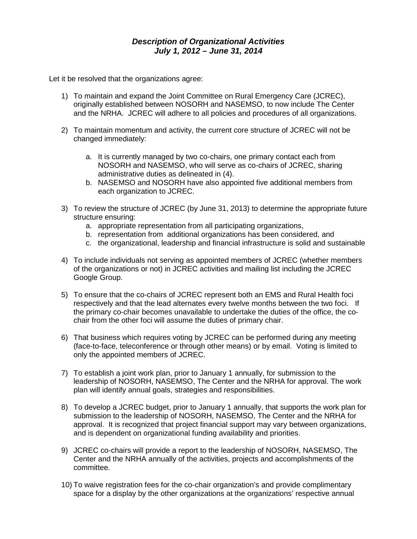## *Description of Organizational Activities July 1, 2012 – June 31, 2014*

Let it be resolved that the organizations agree:

- 1) To maintain and expand the Joint Committee on Rural Emergency Care (JCREC), originally established between NOSORH and NASEMSO, to now include The Center and the NRHA. JCREC will adhere to all policies and procedures of all organizations.
- 2) To maintain momentum and activity, the current core structure of JCREC will not be changed immediately:
	- a. It is currently managed by two co-chairs, one primary contact each from NOSORH and NASEMSO, who will serve as co-chairs of JCREC, sharing administrative duties as delineated in (4).
	- b. NASEMSO and NOSORH have also appointed five additional members from each organization to JCREC.
- 3) To review the structure of JCREC (by June 31, 2013) to determine the appropriate future structure ensuring:
	- a. appropriate representation from all participating organizations,
	- b. representation from additional organizations has been considered, and
	- c. the organizational, leadership and financial infrastructure is solid and sustainable
- 4) To include individuals not serving as appointed members of JCREC (whether members of the organizations or not) in JCREC activities and mailing list including the JCREC Google Group.
- 5) To ensure that the co-chairs of JCREC represent both an EMS and Rural Health foci respectively and that the lead alternates every twelve months between the two foci. If the primary co-chair becomes unavailable to undertake the duties of the office, the cochair from the other foci will assume the duties of primary chair.
- 6) That business which requires voting by JCREC can be performed during any meeting (face-to-face, teleconference or through other means) or by email. Voting is limited to only the appointed members of JCREC.
- 7) To establish a joint work plan, prior to January 1 annually, for submission to the leadership of NOSORH, NASEMSO, The Center and the NRHA for approval. The work plan will identify annual goals, strategies and responsibilities.
- 8) To develop a JCREC budget, prior to January 1 annually, that supports the work plan for submission to the leadership of NOSORH, NASEMSO, The Center and the NRHA for approval. It is recognized that project financial support may vary between organizations, and is dependent on organizational funding availability and priorities.
- 9) JCREC co-chairs will provide a report to the leadership of NOSORH, NASEMSO, The Center and the NRHA annually of the activities, projects and accomplishments of the committee.
- 10) To waive registration fees for the co-chair organization's and provide complimentary space for a display by the other organizations at the organizations' respective annual